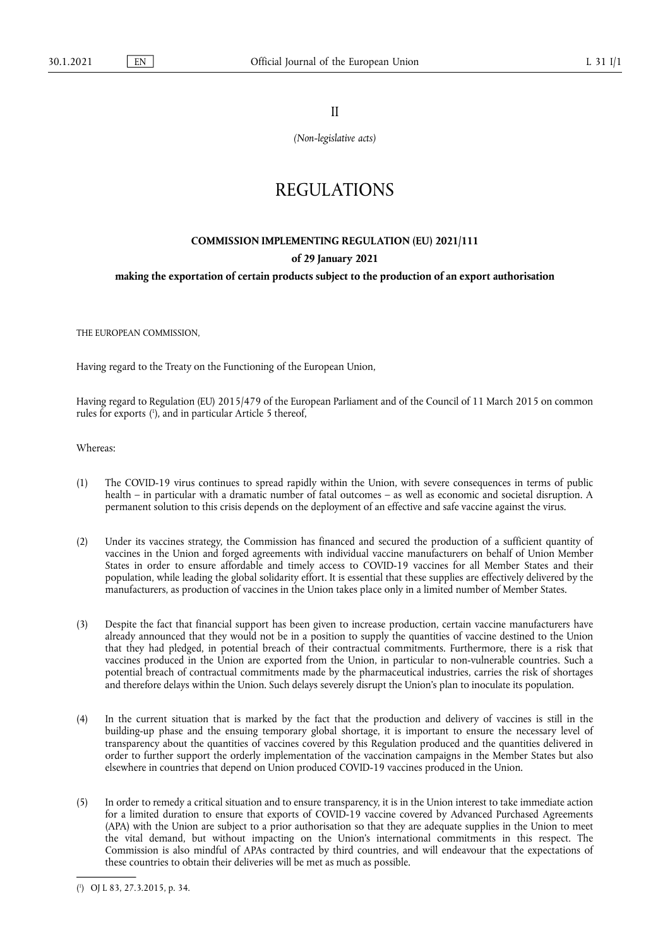II

*(Non-legislative acts)* 

# REGULATIONS

## **COMMISSION IMPLEMENTING REGULATION (EU) 2021/111 of 29 January 2021 making the exportation of certain products subject to the production of an export authorisation**

THE EUROPEAN COMMISSION,

Having regard to the Treaty on the Functioning of the European Union,

<span id="page-0-1"></span>Having regard to Regulation (EU) 2015/479 of the European Parliament and of the Council of 11 March 2015 on common rules for exports [\(](#page-0-0) 1 ), and in particular Article 5 thereof,

Whereas:

- (1) The COVID-19 virus continues to spread rapidly within the Union, with severe consequences in terms of public health – in particular with a dramatic number of fatal outcomes – as well as economic and societal disruption. A permanent solution to this crisis depends on the deployment of an effective and safe vaccine against the virus.
- (2) Under its vaccines strategy, the Commission has financed and secured the production of a sufficient quantity of vaccines in the Union and forged agreements with individual vaccine manufacturers on behalf of Union Member States in order to ensure affordable and timely access to COVID-19 vaccines for all Member States and their population, while leading the global solidarity effort. It is essential that these supplies are effectively delivered by the manufacturers, as production of vaccines in the Union takes place only in a limited number of Member States.
- (3) Despite the fact that financial support has been given to increase production, certain vaccine manufacturers have already announced that they would not be in a position to supply the quantities of vaccine destined to the Union that they had pledged, in potential breach of their contractual commitments. Furthermore, there is a risk that vaccines produced in the Union are exported from the Union, in particular to non-vulnerable countries. Such a potential breach of contractual commitments made by the pharmaceutical industries, carries the risk of shortages and therefore delays within the Union. Such delays severely disrupt the Union's plan to inoculate its population.
- (4) In the current situation that is marked by the fact that the production and delivery of vaccines is still in the building-up phase and the ensuing temporary global shortage, it is important to ensure the necessary level of transparency about the quantities of vaccines covered by this Regulation produced and the quantities delivered in order to further support the orderly implementation of the vaccination campaigns in the Member States but also elsewhere in countries that depend on Union produced COVID-19 vaccines produced in the Union.
- (5) In order to remedy a critical situation and to ensure transparency, it is in the Union interest to take immediate action for a limited duration to ensure that exports of COVID-19 vaccine covered by Advanced Purchased Agreements (APA) with the Union are subject to a prior authorisation so that they are adequate supplies in the Union to meet the vital demand, but without impacting on the Union's international commitments in this respect. The Commission is also mindful of APAs contracted by third countries, and will endeavour that the expectations of these countries to obtain their deliveries will be met as much as possible.

<span id="page-0-0"></span>[<sup>\(</sup>](#page-0-1) 1 ) OJ L 83, 27.3.2015, p. 34.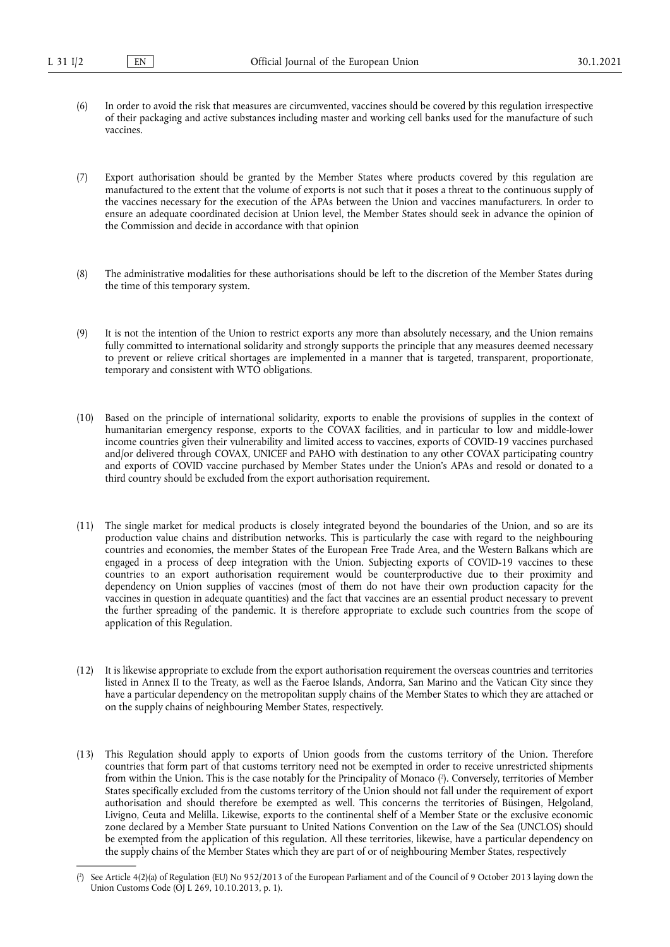- (6) In order to avoid the risk that measures are circumvented, vaccines should be covered by this regulation irrespective of their packaging and active substances including master and working cell banks used for the manufacture of such vaccines.
- (7) Export authorisation should be granted by the Member States where products covered by this regulation are manufactured to the extent that the volume of exports is not such that it poses a threat to the continuous supply of the vaccines necessary for the execution of the APAs between the Union and vaccines manufacturers. In order to ensure an adequate coordinated decision at Union level, the Member States should seek in advance the opinion of the Commission and decide in accordance with that opinion
- (8) The administrative modalities for these authorisations should be left to the discretion of the Member States during the time of this temporary system.
- (9) It is not the intention of the Union to restrict exports any more than absolutely necessary, and the Union remains fully committed to international solidarity and strongly supports the principle that any measures deemed necessary to prevent or relieve critical shortages are implemented in a manner that is targeted, transparent, proportionate, temporary and consistent with WTO obligations.
- (10) Based on the principle of international solidarity, exports to enable the provisions of supplies in the context of humanitarian emergency response, exports to the COVAX facilities, and in particular to low and middle-lower income countries given their vulnerability and limited access to vaccines, exports of COVID-19 vaccines purchased and/or delivered through COVAX, UNICEF and PAHO with destination to any other COVAX participating country and exports of COVID vaccine purchased by Member States under the Union's APAs and resold or donated to a third country should be excluded from the export authorisation requirement.
- (11) The single market for medical products is closely integrated beyond the boundaries of the Union, and so are its production value chains and distribution networks. This is particularly the case with regard to the neighbouring countries and economies, the member States of the European Free Trade Area, and the Western Balkans which are engaged in a process of deep integration with the Union. Subjecting exports of COVID-19 vaccines to these countries to an export authorisation requirement would be counterproductive due to their proximity and dependency on Union supplies of vaccines (most of them do not have their own production capacity for the vaccines in question in adequate quantities) and the fact that vaccines are an essential product necessary to prevent the further spreading of the pandemic. It is therefore appropriate to exclude such countries from the scope of application of this Regulation.
- (12) It is likewise appropriate to exclude from the export authorisation requirement the overseas countries and territories listed in Annex II to the Treaty, as well as the Faeroe Islands, Andorra, San Marino and the Vatican City since they have a particular dependency on the metropolitan supply chains of the Member States to which they are attached or on the supply chains of neighbouring Member States, respectively.
- <span id="page-1-1"></span>(13) This Regulation should apply to exports of Union goods from the customs territory of the Union. Therefore countries that form part of that customs territory need not be exempted in order to receive unrestricted shipments from within the Union. This is the case notably for the Principality of Monaco ( 2 [\).](#page-1-0) Conversely, territories of Member States specifically excluded from the customs territory of the Union should not fall under the requirement of export authorisation and should therefore be exempted as well. This concerns the territories of Büsingen, Helgoland, Livigno, Ceuta and Melilla. Likewise, exports to the continental shelf of a Member State or the exclusive economic zone declared by a Member State pursuant to United Nations Convention on the Law of the Sea (UNCLOS) should be exempted from the application of this regulation. All these territories, likewise, have a particular dependency on the supply chains of the Member States which they are part of or of neighbouring Member States, respectively

<span id="page-1-0"></span>[<sup>\(</sup>](#page-1-1) 2 ) See Article 4(2)(a) of Regulation (EU) No 952/2013 of the European Parliament and of the Council of 9 October 2013 laying down the Union Customs Code (OJ L 269, 10.10.2013, p. 1).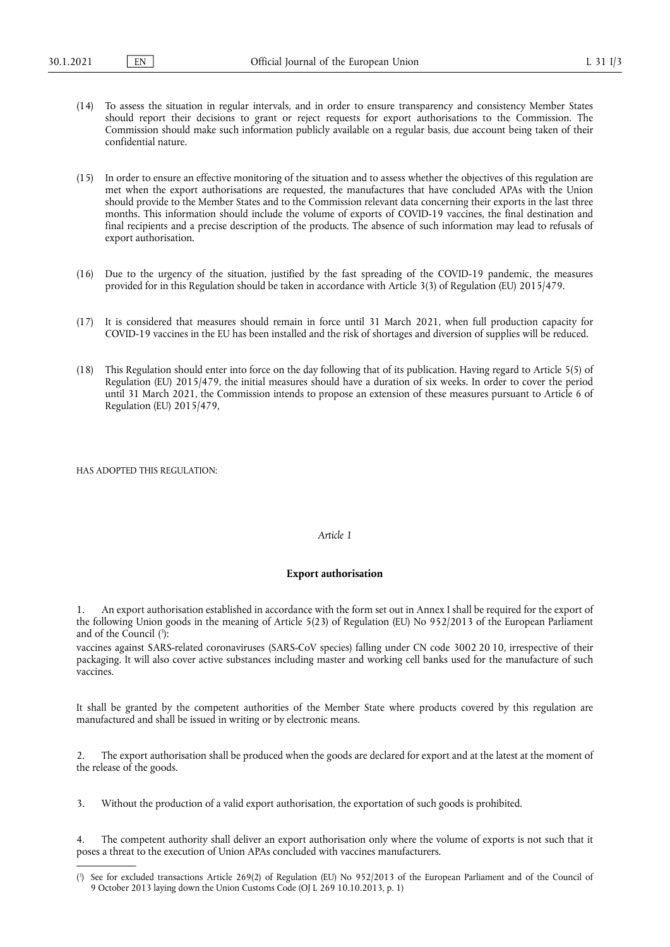- (14) To assess the situation in regular intervals, and in order to ensure transparency and consistency Member States should report their decisions to grant or reject requests for export authorisations to the Commission. The Commission should make such information publicly available on a regular basis, due account being taken of their confidential nature.
- (15) In order to ensure an effective monitoring of the situation and to assess whether the objectives of this regulation are met when the export authorisations are requested, the manufactures that have concluded APAs with the Union should provide to the Member States and to the Commission relevant data concerning their exports in the last three months. This information should include the volume of exports of COVID-19 vaccines, the final destination and final recipients and a precise description of the products. The absence of such information may lead to refusals of export authorisation.
- (16) Due to the urgency of the situation, justified by the fast spreading of the COVID-19 pandemic, the measures provided for in this Regulation should be taken in accordance with Article 3(3) of Regulation (EU) 2015/479.
- (17) It is considered that measures should remain in force until 31 March 2021, when full production capacity for COVID-19 vaccines in the EU has been installed and the risk of shortages and diversion of supplies will be reduced.
- (18) This Regulation should enter into force on the day following that of its publication. Having regard to Article 5(5) of Regulation (EU) 2015/479, the initial measures should have a duration of six weeks. In order to cover the period until 31 March 2021, the Commission intends to propose an extension of these measures pursuant to Article 6 of Regulation (EU) 2015/479,

HAS ADOPTED THIS REGULATION:

#### *Article 1*

#### **Export authorisation**

1. An export authorisation established in accordance with the form set out in Annex I shall be required for the export of the following Union goods in the meaning of Article 5(23) of Regulation (EU) No 952/2013 of the European Parliament and of the Council [\(](#page-2-0) 3 ):

<span id="page-2-1"></span>vaccines against SARS-related coronaviruses (SARS-CoV species) falling under CN code 3002 20 10, irrespective of their packaging. It will also cover active substances including master and working cell banks used for the manufacture of such vaccines.

It shall be granted by the competent authorities of the Member State where products covered by this regulation are manufactured and shall be issued in writing or by electronic means.

2. The export authorisation shall be produced when the goods are declared for export and at the latest at the moment of the release of the goods.

3. Without the production of a valid export authorisation, the exportation of such goods is prohibited.

4. The competent authority shall deliver an export authorisation only where the volume of exports is not such that it poses a threat to the execution of Union APAs concluded with vaccines manufacturers.

<span id="page-2-0"></span>[<sup>\(</sup>](#page-2-1) 3 ) See for excluded transactions Article 269(2) of Regulation (EU) No 952/2013 of the European Parliament and of the Council of 9 October 2013 laying down the Union Customs Code (OJ L 269 10.10.2013, p. 1)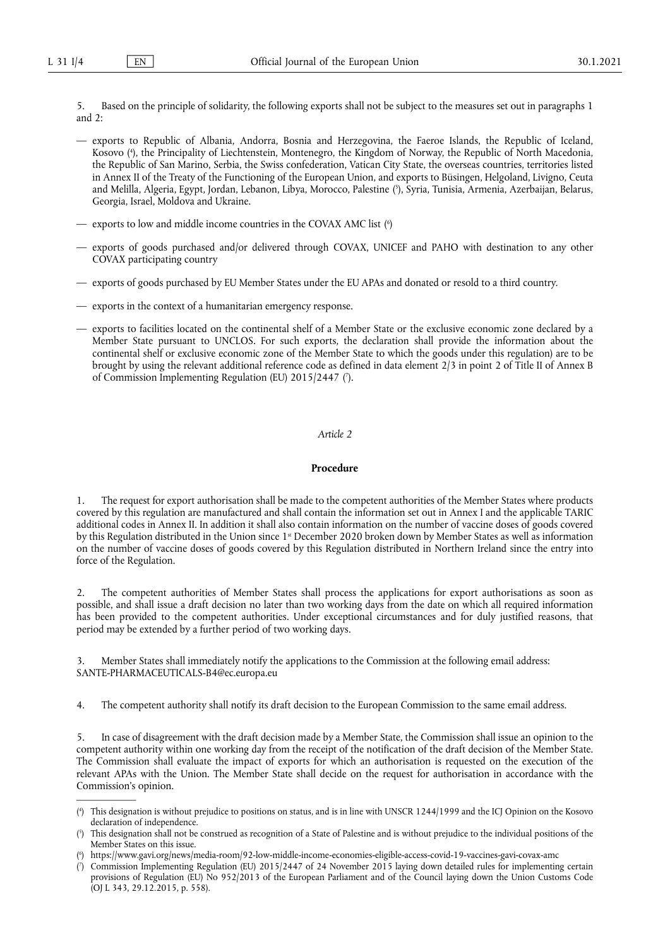5. Based on the principle of solidarity, the following exports shall not be subject to the measures set out in paragraphs 1 and 2:

- <span id="page-3-4"></span>— exports to Republic of Albania, Andorra, Bosnia and Herzegovina, the Faeroe Islands, the Republic of Iceland, Kosovo ( 4 [\),](#page-3-0) the Principality of Liechtenstein, Montenegro, the Kingdom of Norway, the Republic of North Macedonia, the Republic of San Marino, Serbia, the Swiss confederation, Vatican City State, the overseas countries, territories listed in Annex II of the Treaty of the Functioning of the European Union, and exports to Büsingen, Helgoland, Livigno, Ceuta and Melilla, Algeria, Egypt, Jordan, Lebanon, Libya, Morocco, Palestine ( 5 [\),](#page-3-1) Syria, Tunisia, Armenia, Azerbaijan, Belarus, Georgia, Israel, Moldova and Ukraine.
- <span id="page-3-6"></span><span id="page-3-5"></span>— exports to low and middle income countries in the COVAX AMC list [\(](#page-3-2) 6 )
- exports of goods purchased and/or delivered through COVAX, UNICEF and PAHO with destination to any other COVAX participating country
- exports of goods purchased by EU Member States under the EU APAs and donated or resold to a third country.
- exports in the context of a humanitarian emergency response.
- <span id="page-3-7"></span>— exports to facilities located on the continental shelf of a Member State or the exclusive economic zone declared by a Member State pursuant to UNCLOS. For such exports, the declaration shall provide the information about the continental shelf or exclusive economic zone of the Member State to which the goods under this regulation) are to be brought by using the relevant additional reference code as defined in data element 2/3 in point 2 of Title II of Annex B of Commission Implementing Regulation (EU) 2015/2447 [\(](#page-3-3) 7 ).

#### *Article 2*

#### **Procedure**

1. The request for export authorisation shall be made to the competent authorities of the Member States where products covered by this regulation are manufactured and shall contain the information set out in Annex I and the applicable TARIC additional codes in Annex II. In addition it shall also contain information on the number of vaccine doses of goods covered by this Regulation distributed in the Union since 1<sup>st</sup> December 2020 broken down by Member States as well as information on the number of vaccine doses of goods covered by this Regulation distributed in Northern Ireland since the entry into force of the Regulation.

2. The competent authorities of Member States shall process the applications for export authorisations as soon as possible, and shall issue a draft decision no later than two working days from the date on which all required information has been provided to the competent authorities. Under exceptional circumstances and for duly justified reasons, that period may be extended by a further period of two working days.

3. Member States shall immediately notify the applications to the Commission at the following email address: SANTE-PHARMACEUTICALS-B4@ec.europa.eu

4. The competent authority shall notify its draft decision to the European Commission to the same email address.

5. In case of disagreement with the draft decision made by a Member State, the Commission shall issue an opinion to the competent authority within one working day from the receipt of the notification of the draft decision of the Member State. The Commission shall evaluate the impact of exports for which an authorisation is requested on the execution of the relevant APAs with the Union. The Member State shall decide on the request for authorisation in accordance with the Commission's opinion.

<span id="page-3-0"></span>[<sup>\(</sup>](#page-3-4) 4 ) This designation is without prejudice to positions on status, and is in line with UNSCR 1244/1999 and the ICJ Opinion on the Kosovo declaration of independence.

<span id="page-3-1"></span>[<sup>\(</sup>](#page-3-5) 5 ) This designation shall not be construed as recognition of a State of Palestine and is without prejudice to the individual positions of the Member States on this issue.

<span id="page-3-2"></span>[<sup>\(</sup>](#page-3-6) 6 ) <https://www.gavi.org/news/media-room/92-low-middle-income-economies-eligible-access-covid-19-vaccines-gavi-covax-amc>

<span id="page-3-3"></span>[<sup>\(</sup>](#page-3-7) 7 ) Commission Implementing Regulation (EU) 2015/2447 of 24 November 2015 laying down detailed rules for implementing certain provisions of Regulation (EU) No 952/2013 of the European Parliament and of the Council laying down the Union Customs Code (OJ L 343, 29.12.2015, p. 558).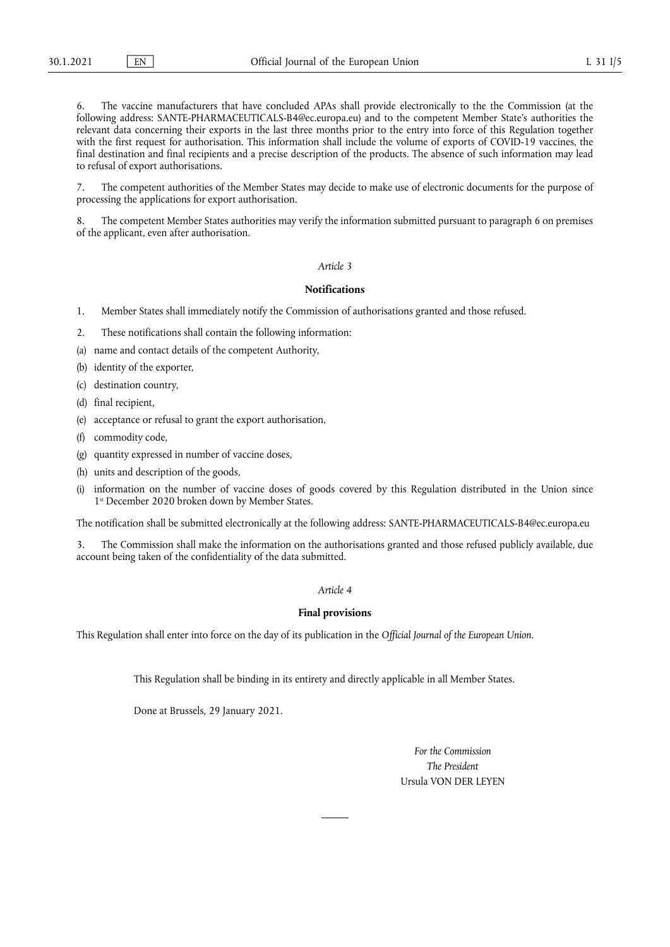The vaccine manufacturers that have concluded APAs shall provide electronically to the the Commission (at the following address: SANTE-PHARMACEUTICALS-B4@ec.europa.eu) and to the competent Member State's authorities the relevant data concerning their exports in the last three months prior to the entry into force of this Regulation together with the first request for authorisation. This information shall include the volume of exports of COVID-19 vaccines, the final destination and final recipients and a precise description of the products. The absence of such information may lead to refusal of export authorisations.

7. The competent authorities of the Member States may decide to make use of electronic documents for the purpose of processing the applications for export authorisation.

The competent Member States authorities may verify the information submitted pursuant to paragraph 6 on premises of the applicant, even after authorisation.

## *Article 3*

## **Notifications**

- 1. Member States shall immediately notify the Commission of authorisations granted and those refused.
- 2. These notifications shall contain the following information:
- (a) name and contact details of the competent Authority,
- (b) identity of the exporter,
- (c) destination country,
- (d) final recipient,
- (e) acceptance or refusal to grant the export authorisation,
- (f) commodity code,
- (g) quantity expressed in number of vaccine doses,
- (h) units and description of the goods,
- (i) information on the number of vaccine doses of goods covered by this Regulation distributed in the Union since 1<sup>st</sup> December 2020 broken down by Member States.

The notification shall be submitted electronically at the following address: SANTE-PHARMACEUTICALS-B4@ec.europa.eu

3. The Commission shall make the information on the authorisations granted and those refused publicly available, due account being taken of the confidentiality of the data submitted.

#### *Article 4*

### **Final provisions**

This Regulation shall enter into force on the day of its publication in the *Official Journal of the European Union*.

This Regulation shall be binding in its entirety and directly applicable in all Member States.

Done at Brussels, 29 January 2021.

*For the Commission The President*  Ursula VON DER LEYEN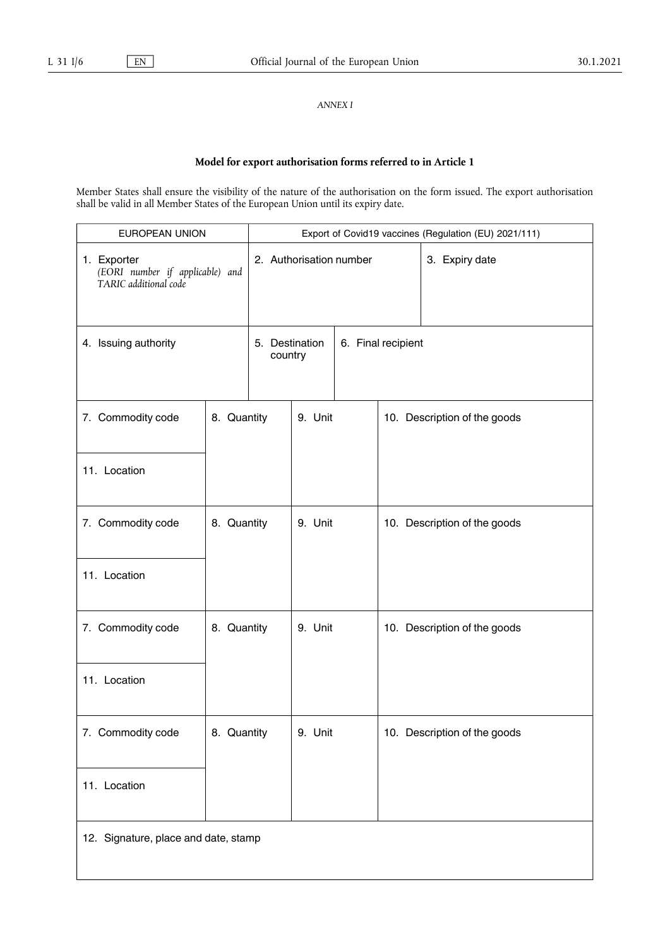*ANNEX I* 

## **Model for export authorisation forms referred to in Article 1**

Member States shall ensure the visibility of the nature of the authorisation on the form issued. The export authorisation shall be valid in all Member States of the European Union until its expiry date.

| EUROPEAN UNION                                                          |             | Export of Covid19 vaccines (Regulation (EU) 2021/111) |         |                    |                              |                              |
|-------------------------------------------------------------------------|-------------|-------------------------------------------------------|---------|--------------------|------------------------------|------------------------------|
| 1. Exporter<br>(EORI number if applicable) and<br>TARIC additional code |             | 2. Authorisation number                               |         |                    |                              | 3. Expiry date               |
| 4. Issuing authority                                                    |             | 5. Destination<br>country                             |         | 6. Final recipient |                              |                              |
| 7. Commodity code                                                       | 8. Quantity |                                                       | 9. Unit |                    | 10. Description of the goods |                              |
| 11. Location                                                            |             |                                                       |         |                    |                              |                              |
| 7. Commodity code                                                       | 8. Quantity |                                                       | 9. Unit |                    |                              | 10. Description of the goods |
| 11. Location                                                            |             |                                                       |         |                    |                              |                              |
| 7. Commodity code                                                       | 8. Quantity |                                                       | 9. Unit |                    | 10. Description of the goods |                              |
| 11. Location                                                            |             |                                                       |         |                    |                              |                              |
| 7. Commodity code                                                       | 8. Quantity |                                                       | 9. Unit |                    |                              | 10. Description of the goods |
| 11. Location                                                            |             |                                                       |         |                    |                              |                              |
| 12. Signature, place and date, stamp                                    |             |                                                       |         |                    |                              |                              |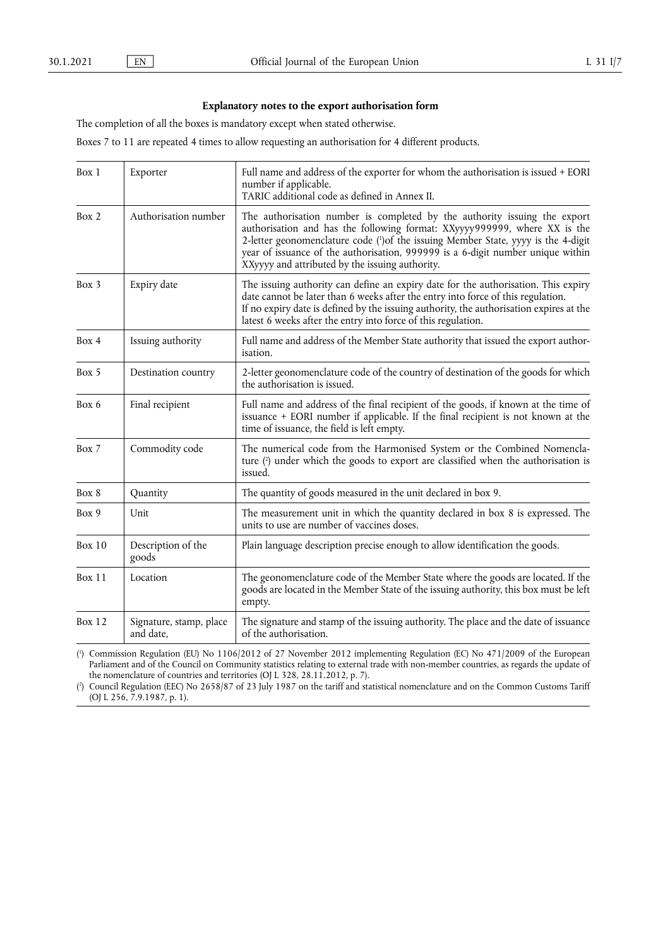## <span id="page-6-2"></span>**Explanatory notes to the export authorisation form**

The completion of all the boxes is mandatory except when stated otherwise.

Boxes 7 to 11 are repeated 4 times to allow requesting an authorisation for 4 different products.

| Box 1         | Exporter                             | Full name and address of the exporter for whom the authorisation is issued + EORI<br>number if applicable.<br>TARIC additional code as defined in Annex II.                                                                                                                                                                                                                       |
|---------------|--------------------------------------|-----------------------------------------------------------------------------------------------------------------------------------------------------------------------------------------------------------------------------------------------------------------------------------------------------------------------------------------------------------------------------------|
| Box 2         | Authorisation number                 | The authorisation number is completed by the authority issuing the export<br>authorisation and has the following format: XXyyyy999999, where XX is the<br>2-letter geonomenclature code (')of the issuing Member State, yyyy is the 4-digit<br>year of issuance of the authorisation, 999999 is a 6-digit number unique within<br>XXyyyy and attributed by the issuing authority. |
| Box 3         | Expiry date                          | The issuing authority can define an expiry date for the authorisation. This expiry<br>date cannot be later than 6 weeks after the entry into force of this regulation.<br>If no expiry date is defined by the issuing authority, the authorisation expires at the<br>latest 6 weeks after the entry into force of this regulation.                                                |
| Box 4         | Issuing authority                    | Full name and address of the Member State authority that issued the export author-<br><i>isation.</i>                                                                                                                                                                                                                                                                             |
| Box 5         | Destination country                  | 2-letter geonomenclature code of the country of destination of the goods for which<br>the authorisation is issued.                                                                                                                                                                                                                                                                |
| Box 6         | Final recipient                      | Full name and address of the final recipient of the goods, if known at the time of<br>issuance + EORI number if applicable. If the final recipient is not known at the<br>time of issuance, the field is left empty.                                                                                                                                                              |
| Box 7         | Commodity code                       | The numerical code from the Harmonised System or the Combined Nomencla-<br>ture (2) under which the goods to export are classified when the authorisation is<br>issued.                                                                                                                                                                                                           |
| Box 8         | Quantity                             | The quantity of goods measured in the unit declared in box 9.                                                                                                                                                                                                                                                                                                                     |
| Box 9         | Unit                                 | The measurement unit in which the quantity declared in box 8 is expressed. The<br>units to use are number of vaccines doses.                                                                                                                                                                                                                                                      |
| <b>Box 10</b> | Description of the<br>goods          | Plain language description precise enough to allow identification the goods.                                                                                                                                                                                                                                                                                                      |
| <b>Box 11</b> | Location                             | The geonomenclature code of the Member State where the goods are located. If the<br>goods are located in the Member State of the issuing authority, this box must be left<br>empty.                                                                                                                                                                                               |
| <b>Box 12</b> | Signature, stamp, place<br>and date, | The signature and stamp of the issuing authority. The place and the date of issuance<br>of the authorisation.                                                                                                                                                                                                                                                                     |

<span id="page-6-3"></span><span id="page-6-0"></span>( 1 [\)](#page-6-2) Commission Regulation (EU) No 1106/2012 of 27 November 2012 implementing Regulation (EC) No 471/2009 of the European Parliament and of the Council on Community statistics relating to external trade with non-member countries, as regards the update of the nomenclature of countries and territories (OJ L 328, 28.11.2012, p. 7).

<span id="page-6-1"></span> $($ <sup>2</sup> [\)](#page-6-3) Council Regulation (EEC) No 2658/87 of 23 July 1987 on the tariff and statistical nomenclature and on the Common Customs Tariff (OJ L 256, 7.9.1987, p. 1).